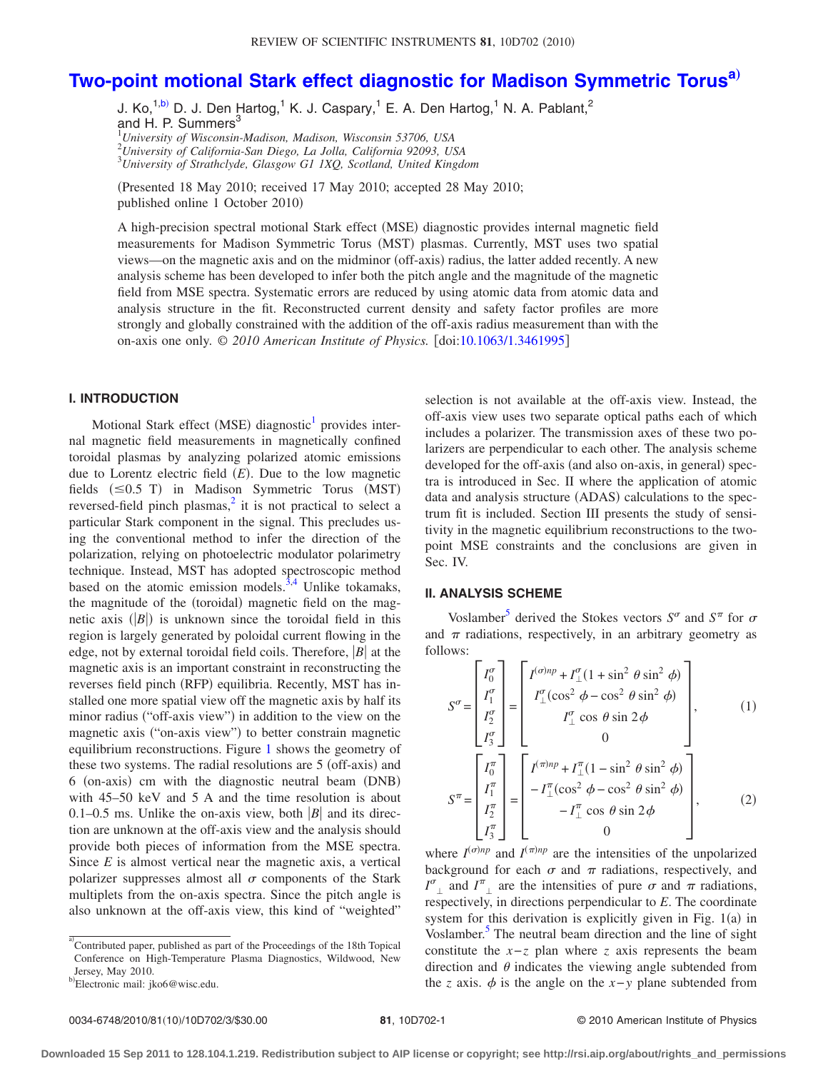# **[Two-point motional Stark effect diagnostic for Madison Symmetric Torus](http://dx.doi.org/10.1063/1.3461995)[a](#page-0-0)**…

J. Ko,<sup>1[,b](#page-0-1))</sup> D. J. Den Hartog,<sup>1</sup> K. J. Caspary,<sup>1</sup> E. A. Den Hartog,<sup>1</sup> N. A. Pablant,<sup>2</sup> and H. P. Summers<sup>3</sup> 1 *University of Wisconsin-Madison, Madison, Wisconsin 53706, USA*

2 *University of California-San Diego, La Jolla, California 92093, USA*

3 *University of Strathclyde, Glasgow G1 1XQ, Scotland, United Kingdom*

(Presented 18 May 2010; received 17 May 2010; accepted 28 May 2010; published online 1 October 2010

A high-precision spectral motional Stark effect (MSE) diagnostic provides internal magnetic field measurements for Madison Symmetric Torus (MST) plasmas. Currently, MST uses two spatial views—on the magnetic axis and on the midminor (off-axis) radius, the latter added recently. A new analysis scheme has been developed to infer both the pitch angle and the magnitude of the magnetic field from MSE spectra. Systematic errors are reduced by using atomic data from atomic data and analysis structure in the fit. Reconstructed current density and safety factor profiles are more strongly and globally constrained with the addition of the off-axis radius measurement than with the on-axis one only.  $\odot$  2010 American Institute of Physics. [doi[:10.1063/1.3461995](http://dx.doi.org/10.1063/1.3461995)]

## **I. INTRODUCTION**

Motional Stark effect (MSE) diagnostic<sup>1</sup> provides internal magnetic field measurements in magnetically confined toroidal plasmas by analyzing polarized atomic emissions due to Lorentz electric field (E). Due to the low magnetic fields  $(\leq 0.5 \text{ T})$  in Madison Symmetric Torus (MST) reversed-field pinch plasmas, $<sup>2</sup>$  it is not practical to select a</sup> particular Stark component in the signal. This precludes using the conventional method to infer the direction of the polarization, relying on photoelectric modulator polarimetry technique. Instead, MST has adopted spectroscopic method based on the atomic emission models. $3,4$  $3,4$  Unlike tokamaks, the magnitude of the (toroidal) magnetic field on the magnetic axis  $(|B|)$  is unknown since the toroidal field in this region is largely generated by poloidal current flowing in the edge, not by external toroidal field coils. Therefore,  $|B|$  at the magnetic axis is an important constraint in reconstructing the reverses field pinch (RFP) equilibria. Recently, MST has installed one more spatial view off the magnetic axis by half its minor radius ("off-axis view") in addition to the view on the magnetic axis ("on-axis view") to better constrain magnetic equilibrium reconstructions. Figure [1](#page-1-0) shows the geometry of these two systems. The radial resolutions are 5 (off-axis) and 6 (on-axis) cm with the diagnostic neutral beam (DNB) with 45–50 keV and 5 A and the time resolution is about 0.1–0.5 ms. Unlike the on-axis view, both  $|B|$  and its direction are unknown at the off-axis view and the analysis should provide both pieces of information from the MSE spectra. Since *E* is almost vertical near the magnetic axis, a vertical polarizer suppresses almost all  $\sigma$  components of the Stark multiplets from the on-axis spectra. Since the pitch angle is also unknown at the off-axis view, this kind of "weighted"

<span id="page-0-0"></span>a)<br>Contributed paper, published as part of the Proceedings of the 18th Topical Conference on High-Temperature Plasma Diagnostics, Wildwood, New Jersey, May 2010.

selection is not available at the off-axis view. Instead, the off-axis view uses two separate optical paths each of which includes a polarizer. The transmission axes of these two polarizers are perpendicular to each other. The analysis scheme developed for the off-axis (and also on-axis, in general) spectra is introduced in Sec. II where the application of atomic data and analysis structure (ADAS) calculations to the spectrum fit is included. Section III presents the study of sensitivity in the magnetic equilibrium reconstructions to the twopoint MSE constraints and the conclusions are given in Sec. IV.

# **II. ANALYSIS SCHEME**

Voslamber<sup>5</sup> derived the Stokes vectors  $S^{\sigma}$  and  $S^{\pi}$  for  $\sigma$ and  $\pi$  radiations, respectively, in an arbitrary geometry as follows:

<span id="page-0-3"></span><span id="page-0-2"></span>
$$
S^{\sigma} = \begin{bmatrix} I_0^{\sigma} \\ I_1^{\sigma} \\ I_2^{\sigma} \\ I_3^{\sigma} \end{bmatrix} = \begin{bmatrix} I^{(\sigma)n} + I_{\perp}^{\sigma} (1 + \sin^2 \theta \sin^2 \phi) \\ I_{\perp}^{\sigma} (\cos^2 \phi - \cos^2 \theta \sin^2 \phi) \\ I_{\perp}^{\sigma} \cos \theta \sin 2\phi \\ 0 \end{bmatrix}, \qquad (1)
$$

$$
S^{\pi} = \begin{bmatrix} I_0^{\pi} \\ I_1^{\pi} \\ I_2^{\pi} \\ I_3^{\pi} \end{bmatrix} = \begin{bmatrix} I^{(\pi)n} + I_{\perp}^{\pi} (1 - \sin^2 \theta \sin^2 \phi) \\ -I_{\perp}^{\pi} (\cos^2 \phi - \cos^2 \theta \sin^2 \phi) \\ -I_{\perp}^{\pi} \cos \theta \sin 2\phi \\ 0 \end{bmatrix}, \qquad (2)
$$

where  $I^{(\sigma)np}$  and  $I^{(\pi)np}$  are the intensities of the unpolarized background for each  $\sigma$  and  $\pi$  radiations, respectively, and  $I^{\sigma}$  and  $I^{\pi}$  are the intensities of pure  $\sigma$  and  $\pi$  radiations, respectively, in directions perpendicular to *E*. The coordinate system for this derivation is explicitly given in Fig.  $1(a)$  in Voslamber.<sup>5</sup> The neutral beam direction and the line of sight constitute the *x*−*z* plan where *z* axis represents the beam direction and  $\theta$  indicates the viewing angle subtended from the *z* axis.  $\phi$  is the angle on the *x*−*y* plane subtended from

<span id="page-0-1"></span>b Electronic mail: jko6@wisc.edu.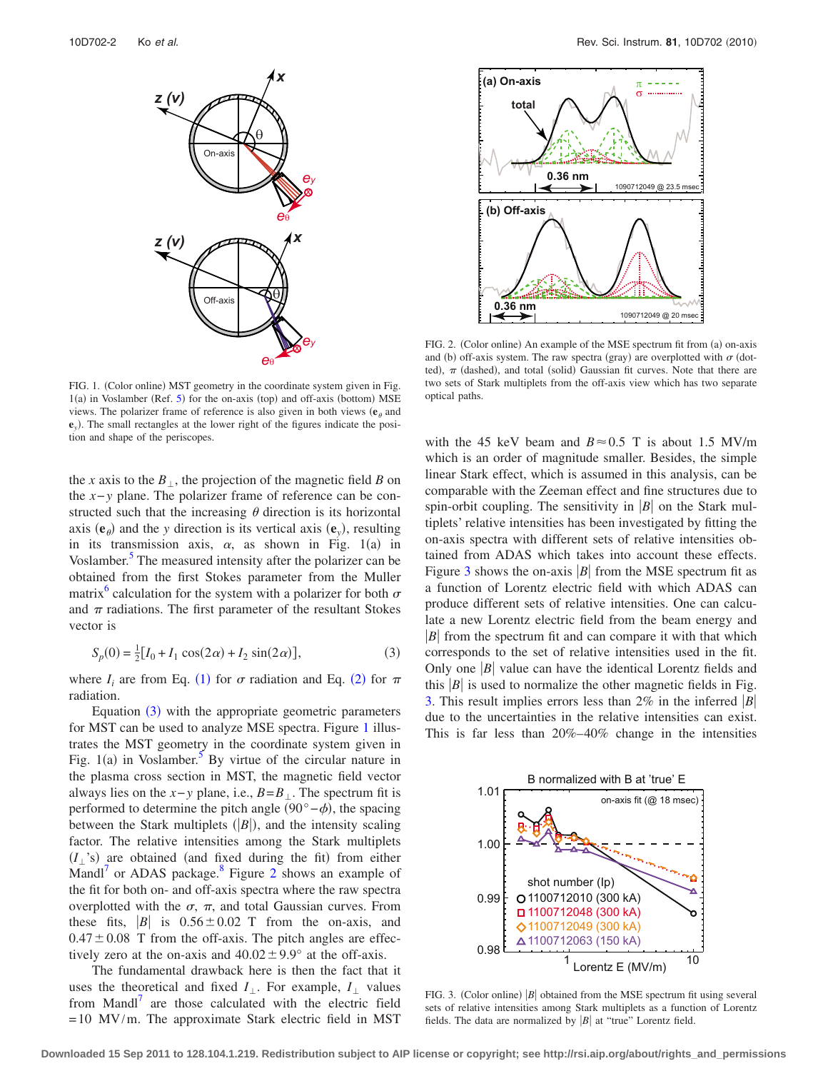<span id="page-1-0"></span>

FIG. 1. (Color online) MST geometry in the coordinate system given in Fig.  $1(a)$  in Voslamber (Ref. [5](#page-2-4)) for the on-axis (top) and off-axis (bottom) MSE views. The polarizer frame of reference is also given in both views  $(e_{\theta}$  and **e***y*. The small rectangles at the lower right of the figures indicate the position and shape of the periscopes.

the *x* axis to the  $B_{\perp}$ , the projection of the magnetic field *B* on the *x*−*y* plane. The polarizer frame of reference can be constructed such that the increasing  $\theta$  direction is its horizontal axis  $(\mathbf{e}_{\theta})$  and the *y* direction is its vertical axis  $(\mathbf{e}_y)$ , resulting in its transmission axis,  $\alpha$ , as shown in Fig. 1(a) in Voslamber.<sup>5</sup> The measured intensity after the polarizer can be obtained from the first Stokes parameter from the Muller matrix<sup>6</sup> calculation for the system with a polarizer for both  $\sigma$ and  $\pi$  radiations. The first parameter of the resultant Stokes vector is

$$
S_p(0) = \frac{1}{2} [I_0 + I_1 \cos(2\alpha) + I_2 \sin(2\alpha)],
$$
 (3)

<span id="page-1-1"></span>where  $I_i$  are from Eq. ([1](#page-0-2)) for  $\sigma$  radiation and Eq. ([2](#page-0-3)) for  $\pi$ radiation.

Equation  $(3)$  $(3)$  $(3)$  with the appropriate geometric parameters for MST can be used to analyze MSE spectra. Figure [1](#page-1-0) illustrates the MST geometry in the coordinate system given in Fig. 1(a) in Voslamber.<sup>5</sup> By virtue of the circular nature in the plasma cross section in MST, the magnetic field vector always lies on the  $x$ −*y* plane, i.e.,  $B = B_{\perp}$ . The spectrum fit is performed to determine the pitch angle  $(90° - \phi)$ , the spacing between the Stark multiplets  $(|B|)$ , and the intensity scaling factor. The relative intensities among the Stark multiplets  $(I_{\perp}$ 's) are obtained (and fixed during the fit) from either Mandl<sup> $\prime$ </sup> or ADAS package.<sup>8</sup> Figure [2](#page-1-2) shows an example of the fit for both on- and off-axis spectra where the raw spectra overplotted with the  $\sigma$ ,  $\pi$ , and total Gaussian curves. From these fits,  $|B|$  is  $0.56 \pm 0.02$  T from the on-axis, and  $0.47 \pm 0.08$  T from the off-axis. The pitch angles are effectively zero at the on-axis and  $40.02 \pm 9.9^{\circ}$  at the off-axis.

The fundamental drawback here is then the fact that it uses the theoretical and fixed  $I_{\perp}$ . For example,  $I_{\perp}$  values from Mandl $\frac{1}{x}$  are those calculated with the electric field = 10 MV/m. The approximate Stark electric field in MST

<span id="page-1-2"></span>

FIG. 2. (Color online) An example of the MSE spectrum fit from (a) on-axis and (b) off-axis system. The raw spectra (gray) are overplotted with  $\sigma$  (dotted),  $\pi$  (dashed), and total (solid) Gaussian fit curves. Note that there are two sets of Stark multiplets from the off-axis view which has two separate optical paths.

with the 45 keV beam and  $B \approx 0.5$  T is about 1.5 MV/m which is an order of magnitude smaller. Besides, the simple linear Stark effect, which is assumed in this analysis, can be comparable with the Zeeman effect and fine structures due to spin-orbit coupling. The sensitivity in  $|B|$  on the Stark multiplets' relative intensities has been investigated by fitting the on-axis spectra with different sets of relative intensities obtained from ADAS which takes into account these effects. Figure [3](#page-1-3) shows the on-axis  $|B|$  from the MSE spectrum fit as a function of Lorentz electric field with which ADAS can produce different sets of relative intensities. One can calculate a new Lorentz electric field from the beam energy and  $|B|$  from the spectrum fit and can compare it with that which corresponds to the set of relative intensities used in the fit. Only one  $|B|$  value can have the identical Lorentz fields and this  $|B|$  is used to normalize the other magnetic fields in Fig. [3.](#page-1-3) This result implies errors less than 2% in the inferred *B* due to the uncertainties in the relative intensities can exist. This is far less than 20%–40% change in the intensities

<span id="page-1-3"></span>

FIG. 3. (Color online)  $|B|$  obtained from the MSE spectrum fit using several sets of relative intensities among Stark multiplets as a function of Lorentz fields. The data are normalized by  $|B|$  at "true" Lorentz field.

**Downloaded 15 Sep 2011 to 128.104.1.219. Redistribution subject to AIP license or copyright; see http://rsi.aip.org/about/rights\_and\_permissions**